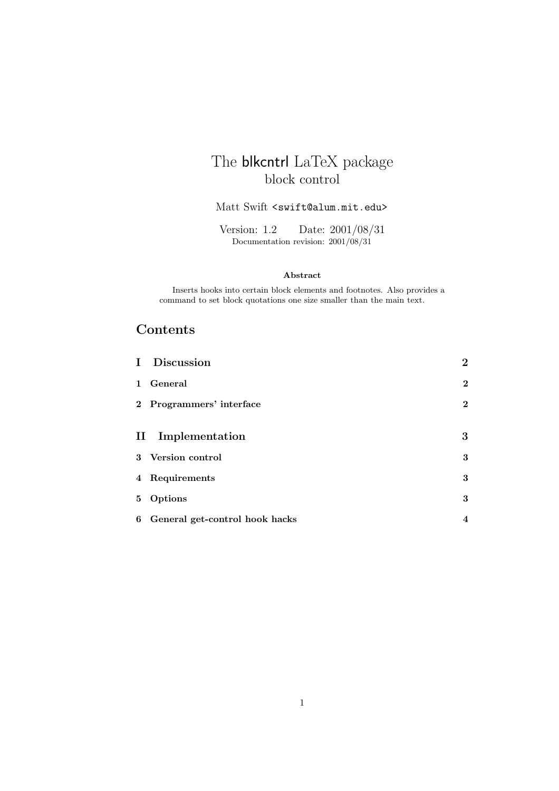## The **blkcntrl** LaTeX package block control

#### Matt Swift <swift@alum.mit.edu>

Version: 1.2 Date: 2001/08/31 Documentation revision: 2001/08/31

#### **Abstract**

Inserts hooks into certain block elements and footnotes. Also provides a command to set block quotations one size smaller than the main text.

### **Contents**

| I Discussion                     | $\bf{2}$                |
|----------------------------------|-------------------------|
| 1 General                        | $\mathbf 2$             |
| 2 Programmers' interface         | $\overline{2}$          |
|                                  |                         |
| II Implementation                | 3                       |
| 3 Version control                | 3                       |
| 4 Requirements                   | 3                       |
| 5 Options                        | 3                       |
| 6 General get-control hook hacks | $\overline{\mathbf{4}}$ |
|                                  |                         |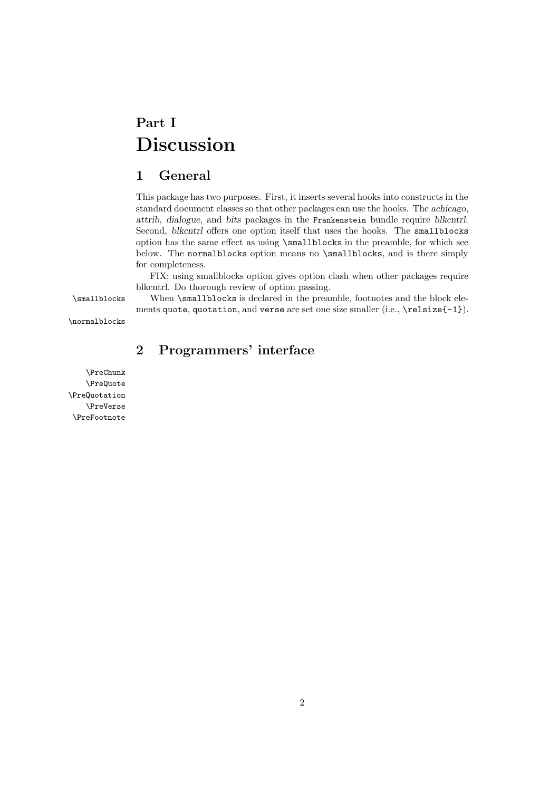# **Part I Discussion**

### **1 General**

This package has two purposes. First, it inserts several hooks into constructs in the standard document classes so that other packages can use the hooks. The *achicago*, *attrib*, *dialogue*, and *bits* packages in the Frankenstein bundle require *blkcntrl*. Second, *blkcntrl* offers one option itself that uses the hooks. The smallblocks option has the same effect as using \smallblocks in the preamble, for which see below. The normalblocks option means no \smallblocks, and is there simply for completeness.

FIX; using smallblocks option gives option clash when other packages require blkcntrl. Do thorough review of option passing.

\smallblocks When \smallblocks is declared in the preamble, footnotes and the block elements quote, quotation, and verse are set one size smaller (i.e., \relsize{-1}).

\normalblocks

### **2 Programmers' interface**

\PreChunk \PreQuote \PreQuotation \PreVerse \PreFootnote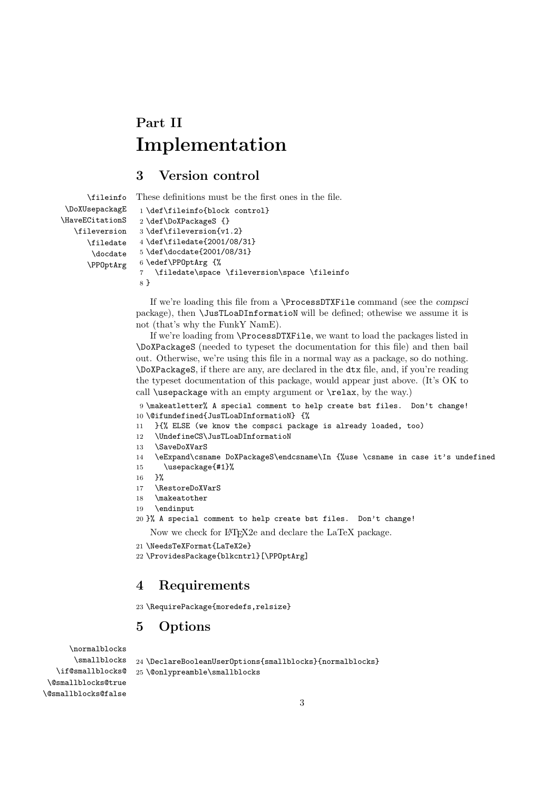# **Part II Implementation**

### **3 Version control**

\fileinfo

These definitions must be the first ones in the file.

```
\DoXUsepackagE
\HaveECitationS
   \fileversion
      \filedate
       \docdate
      \PPOptArg
                  1 \def\fileinfo{block control}
                  2 \def\DoXPackageS {}
                  3 \def\fileversion{v1.2}
                  4 \def\filedate{2001/08/31}
                  5 \def\docdate{2001/08/31}
                  6 \edef\PPOptArg {%
                  7 \filedate\space \fileversion\space \fileinfo
                  8 }
```
If we're loading this file from a \ProcessDTXFile command (see the *compsci* package), then \JusTLoaDInformatioN will be defined; othewise we assume it is not (that's why the FunkY NamE).

If we're loading from \ProcessDTXFile, we want to load the packages listed in \DoXPackageS (needed to typeset the documentation for this file) and then bail out. Otherwise, we're using this file in a normal way as a package, so do nothing. \DoXPackageS, if there are any, are declared in the dtx file, and, if you're reading the typeset documentation of this package, would appear just above. (It's OK to call \usepackage with an empty argument or \relax, by the way.)

9 \makeatletter% A special comment to help create bst files. Don't change! 10 \@ifundefined{JusTLoaDInformatioN} {%

- 11 }{% ELSE (we know the compsci package is already loaded, too)
- 12 \UndefineCS\JusTLoaDInformatioN
- 13 \SaveDoXVarS
- 14 \eExpand\csname DoXPackageS\endcsname\In {%use \csname in case it's undefined
- 15 \usepackage{#1}%
- 16 }%
- 17 \RestoreDoXVarS
- 18 \makeatother
- 19 \endinput
- 20 }% A special comment to help create bst files. Don't change!

Now we check for LATEX2e and declare the LaTeX package.

```
21 \NeedsTeXFormat{LaTeX2e}
```
22 \ProvidesPackage{blkcntrl}[\PPOptArg]

### **4 Requirements**

23 \RequirePackage{moredefs,relsize}

### **5 Options**

\normalblocks \smallblocks \if@smallblocks@ \@smallblocks@true \@smallblocks@false 24 \DeclareBooleanUserOptions{smallblocks}{normalblocks} 25 \@onlypreamble\smallblocks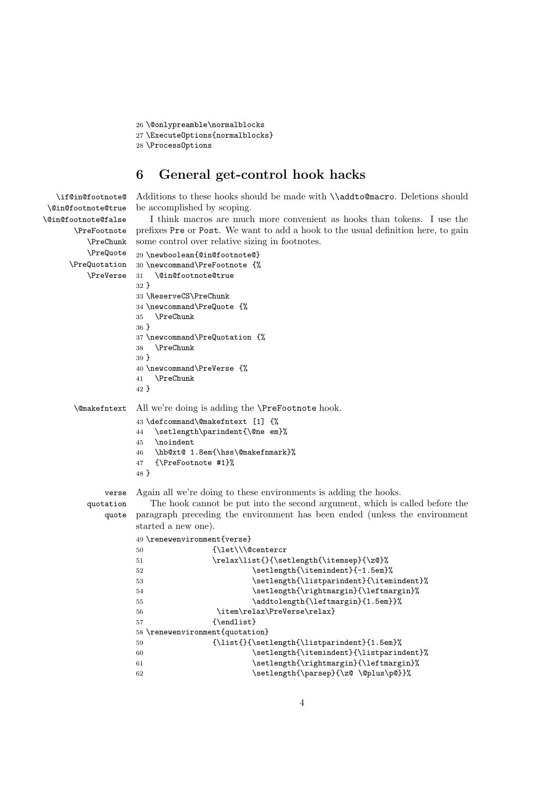```
26 \@onlypreamble\normalblocks
27 \ExecuteOptions{normalblocks}
28 \ProcessOptions
```
\if@in@footnote@

### **6 General get-control hook hacks**

Additions to these hooks should be made with *\\addto@macro*. Deletions should be accomplished by scoping.

\@in@footnote@true \@in@footnote@false \PreFootnote prefixes Pre or Post. We want to add a hook to the usual definition here, to gain \PreChunk \PreQuote \PreQuotation 30 \newcommand\PreFootnote {% \PreVerse I think macros are much more convenient as hooks than tokens. I use the some control over relative sizing in footnotes. 29 \newboolean{@in@footnote@} 31 \@in@footnote@true 32 } 33 \ReserveCS\PreChunk 34 \newcommand\PreQuote {% 35 \PreChunk 36 } 37 \newcommand\PreQuotation {% 38 \PreChunk 39 } 40 \newcommand\PreVerse {% 41 \PreChunk 42 } \@makefntext All we're doing is adding the \PreFootnote hook. 43 \defcommand\@makefntext [1] {% 44 \setlength\parindent{\@ne em}% 45 \noindent 46 \hb@xt@ 1.8em{\hss\@makefnmark}% 47 {\PreFootnote #1}% 48 } verse quotation quote Again all we're doing to these environments is adding the hooks. The hook cannot be put into the second argument, which is called before the paragraph preceding the environment has been ended (unless the environment started a new one). 49 \renewenvironment{verse} 50 {\let\\\@centercr 51 \relax\list{}{\setlength{\itemsep}{\z@}% 52 \setlength{\itemindent}{-1.5em}% 53 \setlength{\listparindent}{\itemindent}% 54 \setlength{\rightmargin}{\leftmargin}% 55 \addtolength{\leftmargin}{1.5em}}% 56 \item\relax\PreVerse\relax} 57 {\endlist} 58 \renewenvironment{quotation} 59  ${\left\{\setminus \text{left}\{\setminus \text{left}\right\}}\}$ 60 \setlength{\itemindent}{\listparindent}% 61 \setlength{\rightmargin}{\leftmargin}% 62 \setlength{\parsep}{\z@ \@plus\p@}}%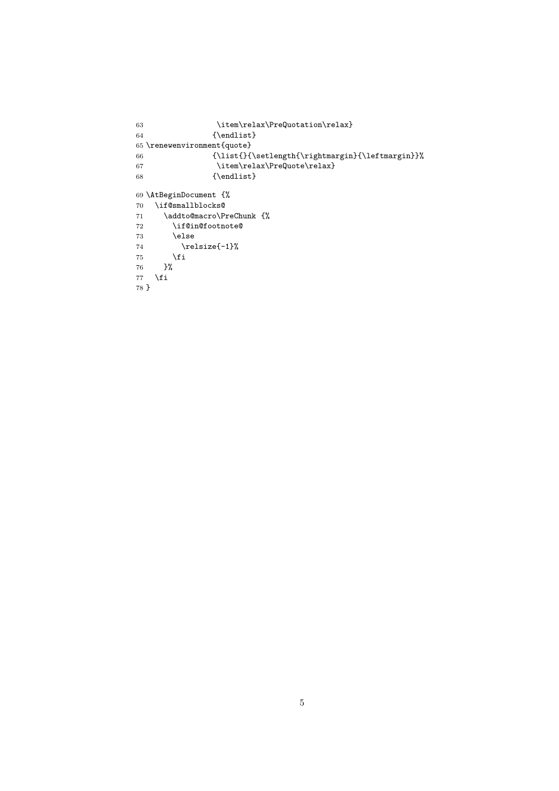```
63 \item\relax\PreQuotation\relax}
64 {\endlist}
65 \renewenvironment{quote}
66 {\left\{\right\{}\right\}}67 \item\relax\PreQuote\relax}
68 {\endlist}
69 \AtBeginDocument {%
70 \if@smallblocks@
71 \addto@macro\PreChunk {%
72 \if@in@footnote@
73 \else
74 \relax{\rightharpoonup} \relax{\rightharpoonup} \relax{\rightharpoonup} \relax{\rightharpoonup} \relax{\rightharpoonup} \relax{\rightharpoonup} \relax{\rightharpoonup} \relax{\rightharpoonup} \relax{\rightharpoonup} \relax{\rightharpoonup} \relax{\rightharpoonup} \relax{\rightharpoonup} \relax{\rightharpoonup} \relax{\rightharpoonup} \relax{\rightharpoonup} \relax{\rightharpoonup} \relax{\rightharpoonup\chifi
76 }%
77 \fi
78 }
```